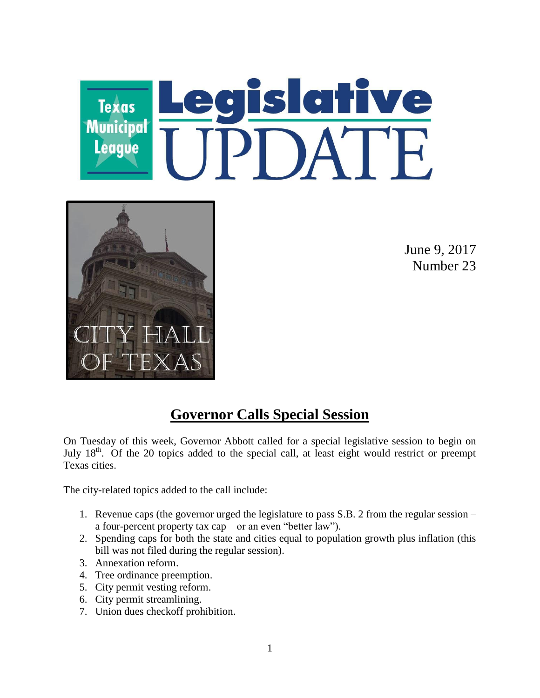



June 9, 2017 Number 23

## **Governor Calls Special Session**

On Tuesday of this week, Governor Abbott called for a special legislative session to begin on July 18<sup>th</sup>. Of the 20 topics added to the special call, at least eight would restrict or preempt Texas cities.

The city-related topics added to the call include:

- 1. Revenue caps (the governor urged the legislature to pass S.B. 2 from the regular session a four-percent property tax cap – or an even "better law").
- 2. Spending caps for both the state and cities equal to population growth plus inflation (this bill was not filed during the regular session).
- 3. Annexation reform.
- 4. Tree ordinance preemption.
- 5. City permit vesting reform.
- 6. City permit streamlining.
- 7. Union dues checkoff prohibition.